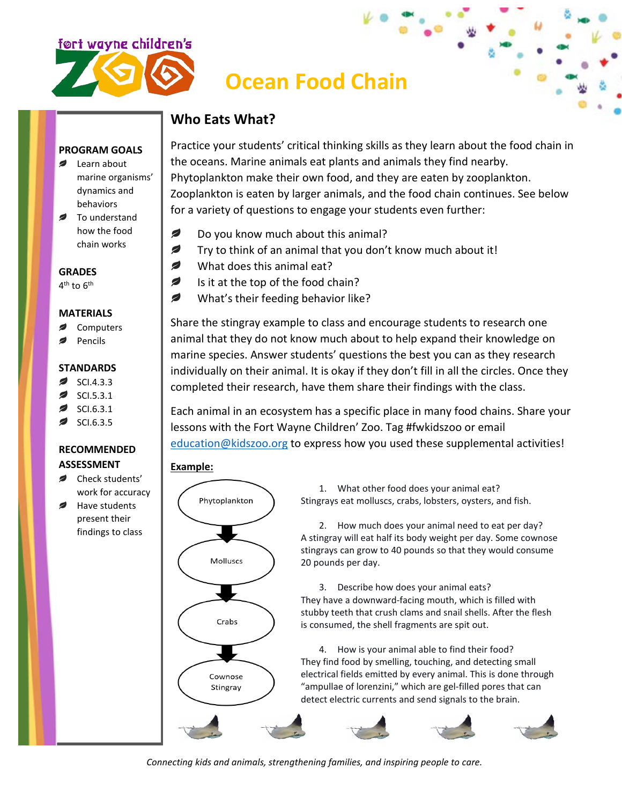

# **Ocean Food Chain**

## **Who Eats What?**

#### **PROGRAM GOALS**

- **Example 1** Learn about marine organisms' dynamics and behaviors
- To understand how the food chain works

**GRADES**

 $4<sup>th</sup>$  to  $6<sup>th</sup>$ 

#### **MATERIALS**

- **Computers**
- Pencils

#### **STANDARDS**

- ◢ SCI.4.3.3
- SCI.5.3.1
- SCI.6.3.1
- SCI.6.3.5

### **RECOMMENDED ASSESSMENT**

- **■** Check students' work for accuracy
- ◢ Have students present their findings to class

Practice your students' critical thinking skills as they learn about the food chain in the oceans. Marine animals eat plants and animals they find nearby. Phytoplankton make their own food, and they are eaten by zooplankton. Zooplankton is eaten by larger animals, and the food chain continues. See below for a variety of questions to engage your students even further:

- Ø Do you know much about this animal?
- Ø Try to think of an animal that you don't know much about it!
- ◢ What does this animal eat?
- Ø Is it at the top of the food chain?
- Ø What's their feeding behavior like?

Share the stingray example to class and encourage students to research one animal that they do not know much about to help expand their knowledge on marine species. Answer students' questions the best you can as they research individually on their animal. It is okay if they don't fill in all the circles. Once they completed their research, have them share their findings with the class.

Each animal in an ecosystem has a specific place in many food chains. Share your lessons with the Fort Wayne Children' Zoo. Tag #fwkidszoo or email [education@kidszoo.org](mailto:education@kidszoo.org) to express how you used these supplemental activities!

### **Example:**



1. What other food does your animal eat? Stingrays eat molluscs, crabs, lobsters, oysters, and fish.

2. How much does your animal need to eat per day? A stingray will eat half its body weight per day. Some cownose stingrays can grow to 40 pounds so that they would consume 20 pounds per day.

3. Describe how does your animal eats? They have a downward-facing mouth, which is filled with stubby teeth that crush clams and snail shells. After the flesh is consumed, the shell fragments are spit out.

4. How is your animal able to find their food? They find food by smelling, touching, and detecting small electrical fields emitted by every animal. This is done through "ampullae of lorenzini," which are gel-filled pores that can detect electric currents and send signals to the brain.



*Connecting kids and animals, strengthening families, and inspiring people to care.*